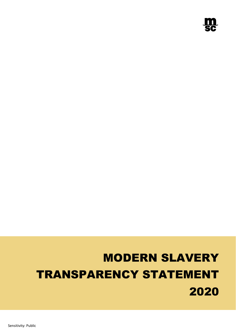

# MODERN SLAVERY TRANSPARENCY STATEMENT 2020

Sensitivity: Public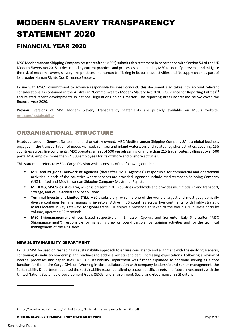## MODERN SLAVERY TRANSPARENCY STATEMENT 2020

## FINANCIAL YEAR 2020

MSC Mediterranean Shipping Company SA (thereafter "MSC") submits this statement in accordance with Section 54 of the UK Modern Slavery Act 2015. It describes key current practices and processes conducted by MSC to identify, prevent, and mitigate the risk of modern slavery, slavery-like practices and human trafficking in its business activities and its supply chain as part of its broader Human Rights Due Diligence Process.

In line with MSC's commitment to advance responsible business conduct, this document also takes into account relevant considerations as contained in the Australian "Commonwealth Modern Slavery Act 2018 - Guidance for Reporting Entities"<sup>1</sup> and related recent developments in national legislations on this matter. The reporting areas addressed below cover the financial year 2020.

Previous versions of MSC Modern Slavery Transparency Statements are publicly available on MSC's website: [msc.com/sustainability](file:///C:/Users/nicolerencoret/OneDrive%20-%20Mediterranean%20Shipping%20Company/Documents/Addressing%20Social%20Challenges/Modern%20Slavery%20Statement/2020/Final/msc.com/sustainability)

## ORGANISATIONAL STRUCTURE

Headquartered in Geneva, Switzerland, and privately owned, MSC Mediterranean Shipping Company SA is a global business engaged in the transportation of goods via road, rail, sea and inland waterways and related logistics activities, covering 155 countries across five continents. MSC operates a fleet of 590 vessels sailing on more than 215 trade routes, calling at over 500 ports. MSC employs more than 74,300 employees for its offshore and onshore activities.

This statement refers to MSC's Cargo Division which consists of the following entities:

- **MSC and its global network of Agencies** (thereafter "MSC Agencies") responsible for commercial and operational activities in each of the countries where services are provided. Agencies include Mediterranean Shipping Company (UK) Limited and Mediterranean Shipping Company (Australia) Pty. Ltd
- **MEDLOG, MSC's logistics arm**, which is present in 70+ countries worldwide and provides multimodal inland transport, storage, and value-added service solutions
- **Terminal Investment Limited (TiL),** MSC's subsidiary, which is one of the world's largest and most geographically diverse container terminal managing investors. Active in 30 countries across five continents, with highly strategic assets located in key gateways for global trade, TiL enjoys a presence at seven of the world's 30 busiest ports by volume, operating 62 terminals
- **MSC Shipmanagement offices** based respectively in Limassol, Cyprus, and Sorrento, Italy (thereafter "MSC Shipmanagement"), responsible for managing crew on board cargo ships, training activities and for the technical management of the MSC fleet

#### NEW SUSTAINABILITY DEPARTMENT

In 2020 MSC focused on reshaping its sustainability approach to ensure consistency and alignment with the evolving scenario, continuing its industry leadership and readiness to address key stakeholders' increasing expectations. Following a review of internal processes and capabilities, MSC's Sustainability Department was further expanded to continue serving as a core function for the entire Cargo Division. Working in close collaboration with company leadership and senior management, the Sustainability Department updated the sustainability roadmap, aligning sector-specific targets and future investments with the United Nations Sustainable Development Goals (SDGs) and Environment, Social and Governance (ESG) criteria.

MODERN SLAVERY TRANSPARENCY STATEMENT 2020 Page **2** of **8**

<sup>1</sup> https://www.homeaffairs.gov.au/criminal-justice/files/modern-slavery-reporting-entities.pdf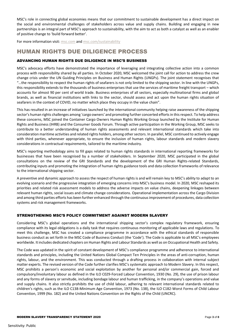MSC's role in connecting global economies means that our commitment to sustainable development has a direct impact on the social and environmental challenges of stakeholders across value and supply chains. Building and engaging in new partnerships is an integral part of MSC's approach to sustainability, with the aim to act as both a catalyst as well as an enabler of positive change to 'build forward better'.

For more information visit: [msc.com](https://www.msc.com/) and [msc.com/sustainability](https://mydocs.msc.com/personal/elisabetta_piazza_msc_com/Documents/Desktop/msc.com/sustainability)

## HUMAN RIGHTS DUE DILIGENCE PROCESS

#### ADVANCING HUMAN RIGHTS DUE DILIGENCE IN MSC'S BUSINESS

MSC's advocacy efforts have demonstrated the importance of leveraging and integrating collective action into a common process with responsibility shared by all parties. In October 2020, MSC welcomed the joint call for action to address the crew change crisis under the UN Guiding Principles on Business and Human Rights (UNGPs). The joint statement recognises that "…the responsibility to respect the human rights of seafarers is not only limited to the shipping sector. In line with the UNGPs, this responsibility extends to the thousands of business enterprises that use the services of maritime freight transport – which accounts for almost 90 per cent of world trade. Business enterprises of all sectors, especially multinational firms and global brands, as well as financial institutions with links to the sector, should assess and act upon the human rights situation of seafarers in the context of COVID, no matter which place they occupy in the value chain".

This has resulted in an increase of initiatives launched by the international community helping raise awareness of the shipping sector's human rights challenges among 'cargo owners' and promoting further concerted efforts in this respect. To help address these concerns, MSC joined the Container Cargo Owners Human Rights Working Group launched by the Institute for Human Rights and Business (IHRB) and the Consumer Goods Forum. Through active participation in the Working Group, MSC seeks to contribute to a better understanding of human rights assessments and relevant international standards which take into consideration maritime activities and related rights holders, among other sectors. In parallel, MSC continued to actively engage with third parties, whenever appropriate, to ensure the inclusion of human rights, labour standards and modern slavery considerations in contractual requirements, tailored to the maritime industry.

MSC's reporting methodology aims to fill gaps related to human rights standards in international reporting frameworks for businesses that have been recognised by a number of stakeholders. In September 2020, MSC participated in the global consultations on the review of the GRI Standards and the development of the GRI Human Rights-related Standards, contributing inputs and promoting the integration of human rights guidance tools and data collection frameworks of relevance to the international shipping sector.

A preventive and dynamic approach to assess the respect of human rights is and will remain key to MSC's ability to adapt to an evolving scenario and the progressive integration of emerging concerns into MSC's business model. In 2020, MSC reshaped its priorities and related risk assessment models to address the adverse impacts on value chains, deepening linkages between relevant human rights, social issues and climate change considerations. Operational implementation across the Cargo Division and among third parties efforts has been further enhanced through the continuous improvement of procedures, data collection systems and risk management frameworks.

#### STRENGTHENING MSC'S POLICY COMMITMENT AGAINST MODERN SLAVERY

Considering MSC's global operations and the international shipping sector's complex regulatory framework, ensuring compliance with its legal obligations is a daily task that requires continuous monitoring of applicable laws and regulations. To meet this challenge, MSC has created a compliance programme in accordance with the ethical standards of responsible business conduct as set forth in the MSC Code of Business Conduct (the 'Code'). The Code is applicable to all MSC's employees worldwide. It includes dedicated chapters on Human Rights and Labour Standards as well as on Occupational Health and Safety.

The Code was updated in the spirit of constant development of MSC's compliance programme and adherence to international standards and principles, including the United Nations Global Compact Ten Principles in the areas of anti-corruption, human rights, labour, and the environment. This was conducted through a drafting process in collaboration with internal subject matter experts. The revised version of the Code further clarifies MSC's systematic approach to Modern Slavery. In this respect, MSC prohibits a person's economic and social exploitation by another for personal and/or commercial gain, forced and compulsory/involuntary labour as defined in the ILO C029-Forced Labour Convention, 1930 (No. 29), the use of prison labour and any forms of slavery or servitude, including bondage labour and human trafficking, in the company's operations and value and supply chains. It also strictly prohibits the use of child labour, adhering to relevant international standards related to children's rights, such as the ILO C138-Minimum Age Convention, 1973 (No. 138), the ILO C182-Worst Forms of Child Labour Convention, 1999 (No. 182) and the United Nations Convention on the Rights of the Child (UNCRC).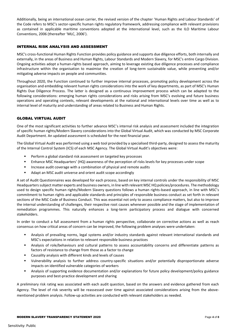Additionally, being an international ocean carrier, the revised version of the chapter 'Human Rights and Labour Standards' of the Code refers to MSC's sector-specific human rights regulatory framework, addressing compliance with relevant provisions as contained in applicable maritime conventions adopted at the international level, such as the ILO Maritime Labour Conventions, 2006 (thereafter 'MLC, 2006').

#### INTERNAL RISK ANALYSIS AND ASSESSMENT

MSC's cross-functional Human Rights Function provides policy guidance and supports due diligence efforts, both internally and externally, in the areas of Business and Human Rights, Labour Standards and Modern Slavery, for MSC's entire Cargo Division. Ongoing activities adopt a human-rights based approach, aiming to leverage existing due diligence processes and compliance infrastructure within the organisation to maximise the creation of long-term sustainable value, while preventing and/or mitigating adverse impacts on people and communities.

Throughout 2020, the Function continued to further improve internal processes, promoting policy development across the organisation and embedding relevant human rights considerations into the work of key departments, as part of MSC's Human Rights Due Diligence Process. The latter is designed as a continuous improvement process which can be adapted to the following considerations: emerging human rights considerations and risks arising from MSC's evolving and future business operations and operating contexts, relevant developments at the national and international levels over time as well as to internal level of maturity and understanding of areas related to Business and Human Rights.

#### GLOBAL VIRTUAL AUDIT

One of the most significant activities to further advance MSC's internal risk analysis and assessment included the integration of specific human rights/Modern Slavery considerations into the Global Virtual Audit, which was conducted by MSC Corporate Audit Department. An updated assessment is scheduled for the next financial year.

The Global Virtual Audit was performed using a web tool provided by a specialised third-party, designed to assess the maturity of the Internal Control System (ICS) of each MSC Agency. The Global Virtual Audit's objectives were:

- Perform a global standard risk assessment on targeted key processes
- Enhance MSC Headquarters' (HQ) awareness of the perception of risks levels for key processes under scope
- Increase audit coverage with a combination of physical and remote audits
- Adapt an MSC audit universe and orient audit scope accordingly

A set of Audit Questionnaires was developed for each process, based on key internal controls under the responsibility of MSC Headquarters subject matter experts and business owners, in line with relevant MSC HQ policies/procedures. The methodology used to design specific human rights/Modern Slavery questions follows a human rights-based approach, in line with MSC's commitment to human rights and applicable standards and principles of responsible business conduct as set forth in relevant sections of the MSC Code of Business Conduct. This was essential not only to assess compliance matters, but also to improve the internal understanding of challenges, their respective root causes whenever possible and the stage of implementation of remediation programmes. This naturally enhances a long-term participatory process and dialogue with concerned stakeholders.

In order to conduct a full assessment from a human rights perspective, collaborate on corrective actions as well as reach consensus on how critical areas of concern can be improved, the following problem analyses were undertaken:

- Analysis of prevailing norms, legal systems and/or industry standards against relevant international standards and MSC's expectations in relation to relevant responsible business practices
- Analysis of role/behaviours and cultural patterns to assess accountability concerns and differentiate patterns as factors of resistance to change from those as a factor to change
- Causality analysis with different kinds and levels of causes
- Vulnerability analysis to further address country-specific situations and/or potentially disproportionate adverse impacts on identified vulnerable categories of workers
- Analysis of supporting evidence documentation and/or explanations for future policy development/policy guidance purposes and best-practice development and sharing

A preliminary risk rating was associated with each audit question, based on the answers and evidence gathered from each Agency. The level of risk severity will be reassessed over time against associated considerations arising from the abovementioned problem analysis. Follow-up activities are conducted with relevant stakeholders as needed.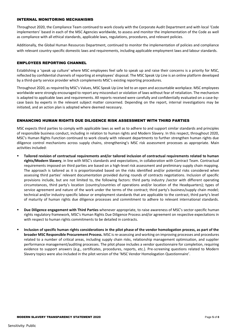#### INTERNAL MONITORING MECHANISMS

Throughout 2020, the Compliance Team continued to work closely with the Corporate Audit Department and with local 'Code implementers' based in each of the MSC Agencies worldwide, to assess and monitor the implementation of the Code as well as compliance with all ethical standards, applicable laws, regulations, procedures, and relevant policies.

Additionally, the Global Human Resources Department, continued to monitor the implementation of policies and compliance with relevant country-specific domestic laws and requirements, including applicable employment laws and labour standards.

#### EMPLOYEES REPORTING CHANNEL

Establishing a 'speak up culture' where MSC employees feel safe to speak up and raise their concerns is a priority for MSC, reflected by confidential channels of reporting at employees' disposal. The MSC Speak Up Line is an online platform developed by a third-party service provider which complements MSC's existing reporting procedures.

Throughout 2020, as required by MSC's Values, MSC Speak Up Line led to an open and accountable workplace. MSC employees worldwide were strongly encouraged to report any misconduct or violation of laws without fear of retaliation. The mechanism is adapted to applicable laws and requirements. All reports received were carefully and confidentially evaluated on a case-bycase basis by experts in the relevant subject matter concerned. Depending on the report, internal investigations may be initiated, and an action plan is adopted where deemed necessary.

#### ENHANCING HUMAN RIGHTS DUE DILIGENCE RISK ASSESSMENT WITH THIRD PARTIES

MSC expects third parties to comply with applicable laws as well as to adhere to and support similar standards and principles of responsible business conduct, including in relation to human rights and Modern Slavery. In this respect, throughout 2020, MSC's Human Rights Function continued to work closely with relevant departments to further strengthen human rights due diligence control mechanisms across supply chains, strengthening's MSC risk assessment processes as appropriate. Main activities included:

- **Tailored revision of contractual requirements and/or tailored inclusion of contractual requirements related to human rights/Modern Slavery**, in line with MSC's standards and expectations, in collaboration with Contract Team. Contractual requirements imposed on third parties are based on a high-level risk assessment and preliminary supply chain mapping. The approach is tailored as it is proportionated based on the risks identified and/or potential risks considered when assessing third parties' relevant documentation provided during rounds of contracts negotiations. Inclusion of specific provisions include, but are not limited to, the following factors: third party industry /sector with different operating circumstances, third party's location (country/countries of operations and/or location of the Headquarters); types of service agreement and nature of the work under the terms of the contract; third party's business/supply chain model; technical and/or industry-specific labour or employment standards that are applicable to the contract, third party's level of maturity of human rights due diligence processes and commitment to adhere to relevant international standards.
- **Due Diligence engagement with Third Parties** whenever appropriate, to raise awareness of MSC's sector-specific human rights regulatory framework, MSC's Human Rights Due Diligence Process and/or agreement on respective expectations in with respect to human rights commitments to be detailed in contracts.
- **Inclusion of specific human rights considerations in the pilot phase of the vendor homologation process, as part of the broader MSC Responsible Procurement Process.** MSC is re-assessing and working on improving processes and procedures related to a number of critical areas, including supply chain risks, relationship management optimisation, and supplier performance management/auditing processes. The pilot phase includes a vendor questionnaire for completion, requiring evidence to support answers (e.g., certificates, procedures, reports, etc.). Pre-screening questions related to Modern Slavery topics were also included in the pilot version of the 'MSC Vendor Homologation Questionnaire'.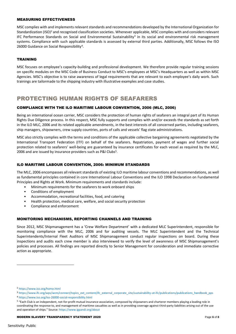#### MEASURING EFFECTIVENESS

MSC complies with and implements relevant standards and recommendations developed by the International Organization for Standardization (ISO)<sup>2</sup> and recognised classification societies. Whenever applicable, MSC complies with and considers relevant IFC Performance Standards on Social and Environmental Sustainability<sup>3</sup> in its social and environmental risk management systems. Compliance with such applicable standards is assessed by external third parties. Additionally, MSC follows the ISO 26000 Guidance on Social Responsibility<sup>4</sup>.

#### TRAINING

MSC focuses on employee's capacity-building and professional development. We therefore provide regular training sessions on specific modules on the MSC Code of Business Conduct to MSC's employees at MSC's Headquarters as well as within MSC Agencies. MSC's objective is to raise awareness of legal requirements that are relevant to each employee's daily work. Such trainings are tailormade to the shipping industry with illustrative examples and case studies.

### PROTECTING HUMAN RIGHTS OF SEAFARERS

#### COMPLIANCE WITH THE ILO MARITIME LABOUR CONVENTION, 2006 (MLC, 2006)

Being an international ocean carrier, MSC considers the protection of human rights of seafarers an integral part of its Human Rights Due Diligence process. In this respect, MSC fully supports and complies with and/or exceeds the standards as set forth in the ILO MLC, 2006 and its related applicable amendments, in the best interests of all concerned parties, including seafarers, ship managers, shipowners, crew supply countries, ports of calls and vessels' flag state administrations.

MSC also strictly complies with the terms and conditions of the applicable collective bargaining agreements negotiated by the International Transport Federation (ITF) on behalf of the seafarers. Repatriation, payment of wages and further social protection related to seafarers' well-being are guaranteed by insurance certificates for each vessel as required by the MLC, 2006 and are issued by insurance providers such as P&I Clubs<sup>5</sup>.

#### ILO MARITIME LABOUR CONVENTION, 2006: MINIMUM STANDARDS

The MLC, 2006 encompasses all relevant standards of existing ILO maritime labour conventions and recommendations, as well as fundamental principles contained in core International Labour Conventions and the ILO 1998 Declaration on Fundamental Principles and Rights at Work. Minimum requirements and standards include:

- Minimum requirements for the seafarers to work onboard ships
- Conditions of employment
- Accommodation, recreational facilities, food, and catering
- Health protection, medical care, welfare, and social security protection
- Compliance and enforcement

#### MONITORING MECHANISMS, REPORTING CHANNELS AND TRAINING

Since 2012, MSC Shipmanagement has a 'Crew Welfare Department' with a dedicated MLC Superintendent, responsible for monitoring compliance with the MLC, 2006 and for auditing vessels. The MLC Superintendent and the Technical Superintendents/Internal Fleet Auditors of MSC Shipmanagement conduct regular inspections on board. During these inspections and audits each crew member is also interviewed to verify the level of awareness of MSC Shipmanagement's policies and processes. All findings are reported directly to Senior Management for consideration and immediate corrective action as appropriate.

<sup>2</sup> https://www.iso.org/home.html

<sup>3</sup> https://www.ifc.org/wps/wcm/connect/topics\_ext\_content/ifc\_external\_corporate\_site/sustainability-at-ifc/publications/publications\_handbook\_pps

<sup>4</sup> https://www.iso.org/iso-26000-social-responsibility.html

<sup>5</sup> "Each Club is an independent, not-for-profit mutual insurance association, composed by shipowners and charterer members playing a leading role in coordinating the response to, and management of maritime casualties as well as in providing coverage against third-party liabilities arising out of the use and operation of ships." Source: https://www.igpandi.org/about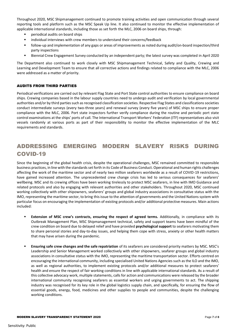Throughout 2020, MSC Shipmanagement continued to promote training activities and open communication through several reporting tools and platform such as the MSC Speak Up line. It also continued to monitor the effective implementation of applicable international standards, including those as set forth the MLC, 2006 on board ships, through:

- periodical audits on board ships
- individual interviews with crew members to understand their concerns/feedback
- follow-up and implementation of any gaps or areas of improvements as noted during audit/on-board inspection/third party inspections
- Biennial Crew Engagement Survey conducted by an independent party; the latest survey was completed in April 2020

The Department also continued to work closely with MSC Shipmanagement Technical, Safety and Quality, Crewing and Learning and Development Team to ensure that all corrective actions and findings related to compliance with the MLC, 2006 were addressed as a matter of priority.

#### AUDITS FROM THIRD PARTIES

Periodical verifications are carried out by relevant Flag State and Port State control authorities to ensure compliance on board ships. Crewing companies based in the labour supply countries need to undergo audit and verification by local governmental authorities and/or by third parties such as recognised classification societies. Respective Flag States and classifications societies conduct intermediate surveys (every two-three years) and renewal survey (every five years) of MSC ships to ensure proper compliance with the MLC, 2006. Port state inspectors further verify compliance during the routine and periodic port state control examinations at the ships' ports of call. The International Transport Workers' Federation (ITF) representatives also visit vessels randomly at various ports as part of their responsibility to monitor the effective implementation of the MLC requirements and standards.

## ADDRESSING EMERGING MODERN SLAVERY RISKS DURING COVID-19

Since the beginning of the global health crisis, despite the operational challenges, MSC remained committed to responsible business practices, in line with the standards set forth in its Code of Business Conduct. Operational and human rights challenges affecting the work of the maritime sector and of nearly two million seafarers worldwide as a result of COVID-19 restrictions, have gained increased attention. The unprecedented crew change crisis has led to serious consequences for seafarers' wellbeing. MSC and its crewing offices have been working tirelessly to protect MSC seafarers, in line with IMO Guidance and related protocols and also by engaging with relevant authorities and other stakeholders. Throughout 2020, MSC continued working collectively with other shipowners, seafarers' groups and global industry associations in consultative status with the IMO, representing the maritime sector, to bring this issue to the attention of governments and the United Nations system with particular focus on encouraging the implementation of existing protocols and/or additional protective measures. Main actions included:

- **Extension of MSC crew's contracts, ensuring the respect of agreed terms.** Additionally, in compliance with its Outbreak Management Plan, MSC Shipmanagement technical, safety and support teams have been mindful of the crew condition on board due to delayed relief and have provided **psychological support** to seafarers motivating them to share personal stories and day-to-day issues, and helping them cope with stress, anxiety or other health matters that may have arisen during the pandemic.
- **Ensuring safe crew changes and the safe repatriation** of its seafarers are considered priority matters by MSC. MSC's Leadership and Senior Management worked collectively with other shipowners, seafarer groups and global industry associations in consultative status with the IMO, representing the maritime transportation sector. Efforts centred on encouraging the international community, including specialised United Nations Agencies such as the ILO and the IMO, as well as regional authorities, to implement existing protocols and/or additional measures to protect seafarers' health and ensure the respect of fair working conditions in line with applicable international standards. As a result of this collective advocacy work, multiple statements, calls for action and communications were released by the broader international community recognising seafarers as essential workers and urging governments to act. The shipping industry was recognised for its key role in the global logistics supply chain, and specifically, for ensuring the flow of essential goods, energy, food, medicines and other supplies to people and communities, despite the challenging working conditions.